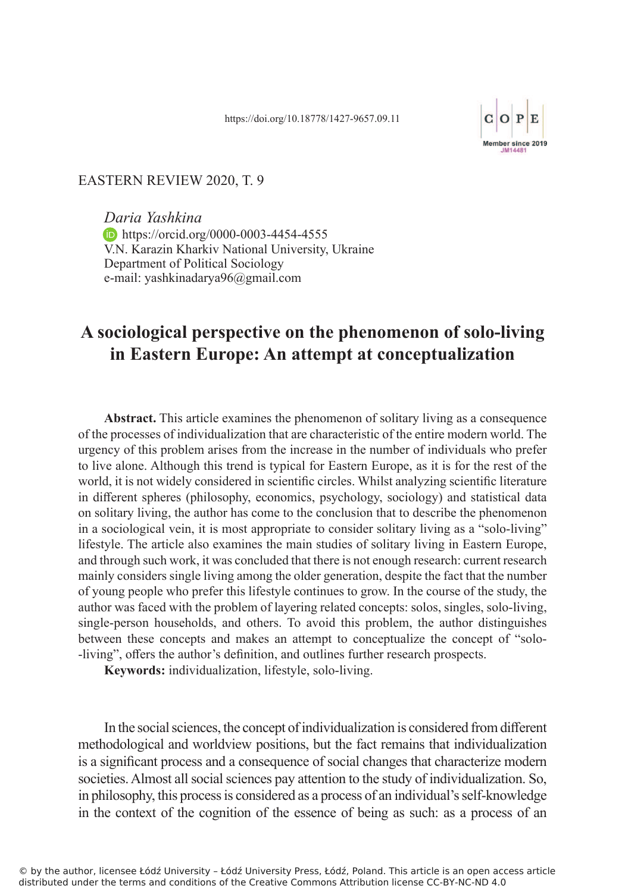

## EASTERN REVIEW 2020, T. 9

*Daria Yashkina* **https://orcid.org/0000-0003-4454-4555** V.N. Karazin Kharkiv National University, Ukraine Department of Political Sociology e-mail: yashkinadarya96@gmail.com

## **A sociological perspective on the phenomenon of solo-living in Eastern Europe: An attempt at conceptualization**

**Abstract.** This article examines the phenomenon of solitary living as a consequence of the processes of individualization that are characteristic of the entire modern world. The urgency of this problem arises from the increase in the number of individuals who prefer to live alone. Although this trend is typical for Eastern Europe, as it is for the rest of the world, it is not widely considered in scientific circles. Whilst analyzing scientific literature in different spheres (philosophy, economics, psychology, sociology) and statistical data on solitary living, the author has come to the conclusion that to describe the phenomenon in a sociological vein, it is most appropriate to consider solitary living as a "solo-living" lifestyle. The article also examines the main studies of solitary living in Eastern Europe, and through such work, it was concluded that there is not enough research: current research mainly considers single living among the older generation, despite the fact that the number of young people who prefer this lifestyle continues to grow. In the course of the study, the author was faced with the problem of layering related concepts: solos, singles, solo-living, single-person households, and others. To avoid this problem, the author distinguishes between these concepts and makes an attempt to conceptualize the concept of "solo- -living", offers the author's definition, and outlines further research prospects.

**Keywords:** individualization, lifestyle, solo-living.

In the social sciences, the concept of individualization is considered from different methodological and worldview positions, but the fact remains that individualization is a significant process and a consequence of social changes that characterize modern societies. Almost all social sciences pay attention to the study of individualization. So, in philosophy, this process is considered as a process of an individual's self-knowledge in the context of the cognition of the essence of being as such: as a process of an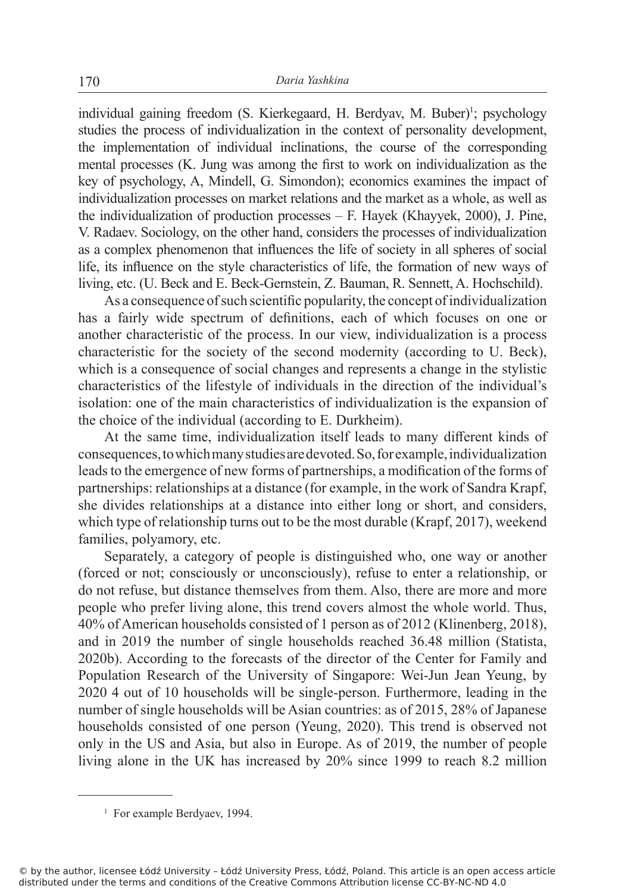individual gaining freedom (S. Kierkegaard, H. Berdyav, M. Buber)<sup>1</sup>; psychology studies the process of individualization in the context of personality development, the implementation of individual inclinations, the course of the corresponding mental processes (K. Jung was among the first to work on individualization as the key of psychology, A, Mindell, G. Simondon); economics examines the impact of individualization processes on market relations and the market as a whole, as well as the individualization of production processes – F. Hayek (Khayyek, 2000), J. Pine, V. Radaev. Sociology, on the other hand, considers the processes of individualization as a complex phenomenon that influences the life of society in all spheres of social life, its influence on the style characteristics of life, the formation of new ways of living, etc. (U. Beck and E. Beck-Gernstein, Z. Bauman, R. Sennett, A. Hochschild).

As a consequence of such scientific popularity, the concept of individualization has a fairly wide spectrum of definitions, each of which focuses on one or another characteristic of the process. In our view, individualization is a process characteristic for the society of the second modernity (according to U. Beck), which is a consequence of social changes and represents a change in the stylistic characteristics of the lifestyle of individuals in the direction of the individual's isolation: one of the main characteristics of individualization is the expansion of the choice of the individual (according to E. Durkheim).

At the same time, individualization itself leads to many different kinds of consequences, to which many studies are devoted. So, for example, individualization leads to the emergence of new forms of partnerships, a modification of the forms of partnerships: relationships at a distance (for example, in the work of Sandra Krapf, she divides relationships at a distance into either long or short, and considers, which type of relationship turns out to be the most durable (Krapf, 2017), weekend families, polyamory, etc.

Separately, a category of people is distinguished who, one way or another (forced or not; consciously or unconsciously), refuse to enter a relationship, or do not refuse, but distance themselves from them. Also, there are more and more people who prefer living alone, this trend covers almost the whole world. Thus, 40% of American households consisted of 1 person as of 2012 (Klinenberg, 2018), and in 2019 the number of single households reached 36.48 million (Statista, 2020b). According to the forecasts of the director of the Center for Family and Population Research of the University of Singapore: Wei-Jun Jean Yeung, by 2020 4 out of 10 households will be single-person. Furthermore, leading in the number of single households will be Asian countries: as of 2015, 28% of Japanese households consisted of one person (Yeung, 2020). This trend is observed not only in the US and Asia, but also in Europe. As of 2019, the number of people living alone in the UK has increased by 20% since 1999 to reach 8.2 million

<sup>&</sup>lt;sup>1</sup> For example Berdyaev, 1994.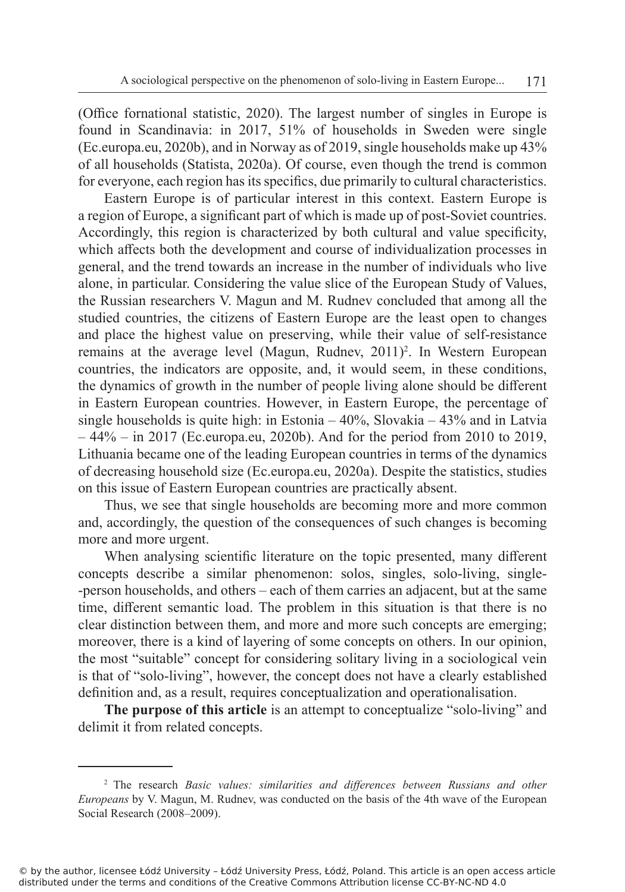(Office fornational statistic, 2020). The largest number of singles in Europe is found in Scandinavia: in 2017, 51% of households in Sweden were single (Ec.europa.eu, 2020b), and in Norway as of 2019, single households make up 43% of all households (Statista, 2020a). Of course, even though the trend is common for everyone, each region has its specifics, due primarily to cultural characteristics.

Eastern Europe is of particular interest in this context. Eastern Europe is a region of Europe, a significant part of which is made up of post-Soviet countries. Accordingly, this region is characterized by both cultural and value specificity, which affects both the development and course of individualization processes in general, and the trend towards an increase in the number of individuals who live alone, in particular. Considering the value slice of the European Study of Values, the Russian researchers V. Magun and M. Rudnev concluded that among all the studied countries, the citizens of Eastern Europe are the least open to changes and place the highest value on preserving, while their value of self-resistance remains at the average level (Magun, Rudnev, 2011)<sup>2</sup>. In Western European countries, the indicators are opposite, and, it would seem, in these conditions, the dynamics of growth in the number of people living alone should be different in Eastern European countries. However, in Eastern Europe, the percentage of single households is quite high: in Estonia – 40%, Slovakia – 43% and in Latvia  $-44\%$  – in 2017 (Ec.europa.eu, 2020b). And for the period from 2010 to 2019, Lithuania became one of the leading European countries in terms of the dynamics of decreasing household size (Ec.europa.eu, 2020a). Despite the statistics, studies on this issue of Eastern European countries are practically absent.

Thus, we see that single households are becoming more and more common and, accordingly, the question of the consequences of such changes is becoming more and more urgent.

When analysing scientific literature on the topic presented, many different concepts describe a similar phenomenon: solos, singles, solo-living, single- -person households, and others – each of them carries an adjacent, but at the same time, different semantic load. The problem in this situation is that there is no clear distinction between them, and more and more such concepts are emerging; moreover, there is a kind of layering of some concepts on others. In our opinion, the most "suitable" concept for considering solitary living in a sociological vein is that of "solo-living", however, the concept does not have a clearly established definition and, as a result, requires conceptualization and operationalisation.

**The purpose of this article** is an attempt to conceptualize "solo-living" and delimit it from related concepts.

<sup>2</sup> The research *Basic values: similarities and differences between Russians and other Europeans* by V. Magun, M. Rudnev, was conducted on the basis of the 4th wave of the European Social Research (2008–2009).

<sup>©</sup> by the author, licensee Łódź University – Łódź University Press, Łódź, Poland. This article is an open access article distributed under the terms and conditions of the Creative Commons Attribution license CC-BY-NC-ND 4.0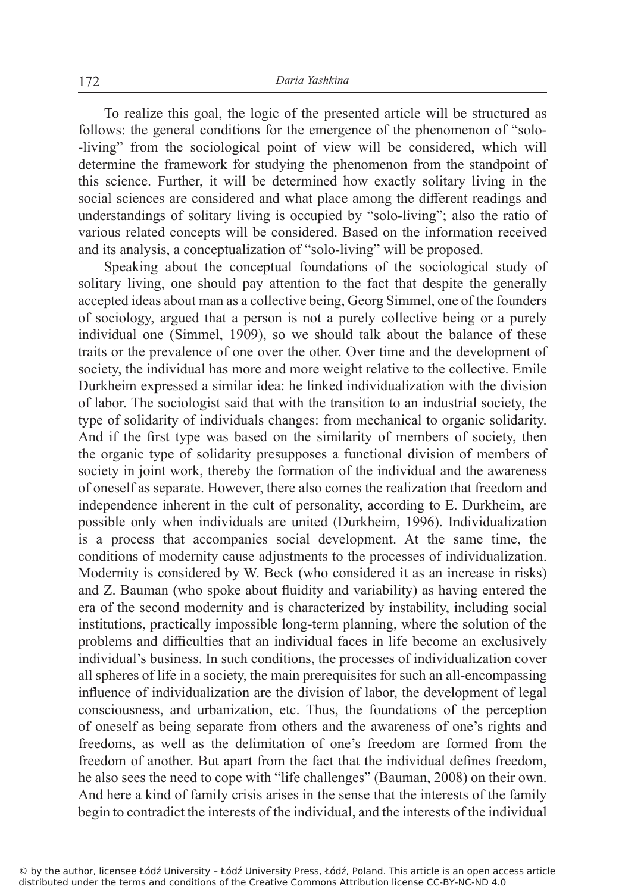To realize this goal, the logic of the presented article will be structured as follows: the general conditions for the emergence of the phenomenon of "solo- -living" from the sociological point of view will be considered, which will determine the framework for studying the phenomenon from the standpoint of this science. Further, it will be determined how exactly solitary living in the social sciences are considered and what place among the different readings and understandings of solitary living is occupied by "solo-living"; also the ratio of various related concepts will be considered. Based on the information received and its analysis, a conceptualization of "solo-living" will be proposed.

Speaking about the conceptual foundations of the sociological study of solitary living, one should pay attention to the fact that despite the generally accepted ideas about man as a collective being, Georg Simmel, one of the founders of sociology, argued that a person is not a purely collective being or a purely individual one (Simmel, 1909), so we should talk about the balance of these traits or the prevalence of one over the other. Over time and the development of society, the individual has more and more weight relative to the collective. Emile Durkheim expressed a similar idea: he linked individualization with the division of labor. The sociologist said that with the transition to an industrial society, the type of solidarity of individuals changes: from mechanical to organic solidarity. And if the first type was based on the similarity of members of society, then the organic type of solidarity presupposes a functional division of members of society in joint work, thereby the formation of the individual and the awareness of oneself as separate. However, there also comes the realization that freedom and independence inherent in the cult of personality, according to E. Durkheim, are possible only when individuals are united (Durkheim, 1996). Individualization is a process that accompanies social development. At the same time, the conditions of modernity cause adjustments to the processes of individualization. Modernity is considered by W. Beck (who considered it as an increase in risks) and Z. Bauman (who spoke about fluidity and variability) as having entered the era of the second modernity and is characterized by instability, including social institutions, practically impossible long-term planning, where the solution of the problems and difficulties that an individual faces in life become an exclusively individual's business. In such conditions, the processes of individualization cover all spheres of life in a society, the main prerequisites for such an all-encompassing influence of individualization are the division of labor, the development of legal consciousness, and urbanization, etc. Thus, the foundations of the perception of oneself as being separate from others and the awareness of one's rights and freedoms, as well as the delimitation of one's freedom are formed from the freedom of another. But apart from the fact that the individual defines freedom, he also sees the need to cope with "life challenges" (Bauman, 2008) on their own. And here a kind of family crisis arises in the sense that the interests of the family begin to contradict the interests of the individual, and the interests of the individual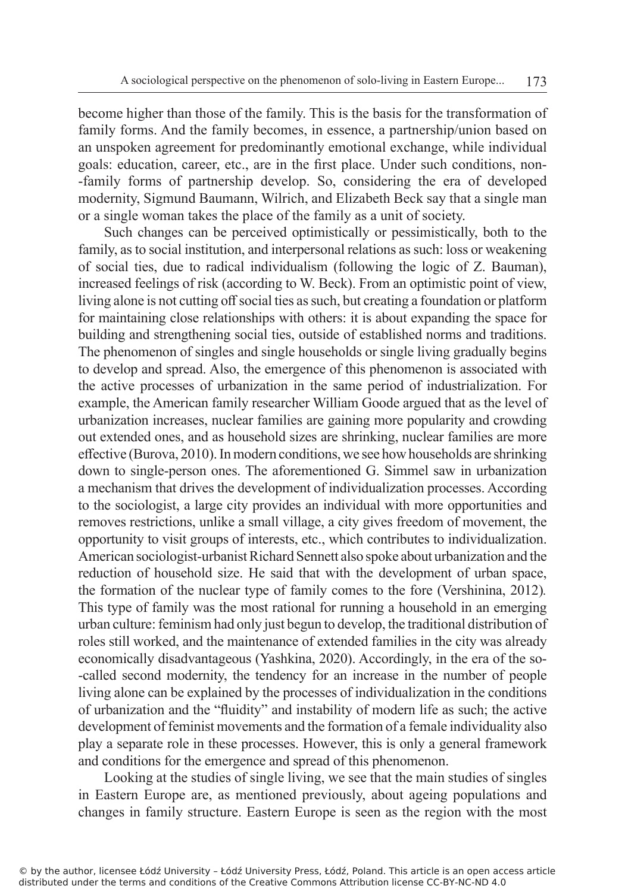become higher than those of the family. This is the basis for the transformation of family forms. And the family becomes, in essence, a partnership/union based on an unspoken agreement for predominantly emotional exchange, while individual goals: education, career, etc., are in the first place. Under such conditions, non- -family forms of partnership develop. So, considering the era of developed modernity, Sigmund Baumann, Wilrich, and Elizabeth Beck say that a single man or a single woman takes the place of the family as a unit of society.

Such changes can be perceived optimistically or pessimistically, both to the family, as to social institution, and interpersonal relations as such: loss or weakening of social ties, due to radical individualism (following the logic of Z. Bauman), increased feelings of risk (according to W. Beck). From an optimistic point of view, living alone is not cutting off social ties as such, but creating a foundation or platform for maintaining close relationships with others: it is about expanding the space for building and strengthening social ties, outside of established norms and traditions. The phenomenon of singles and single households or single living gradually begins to develop and spread. Also, the emergence of this phenomenon is associated with the active processes of urbanization in the same period of industrialization. For example, the American family researcher William Goode argued that as the level of urbanization increases, nuclear families are gaining more popularity and crowding out extended ones, and as household sizes are shrinking, nuclear families are more effective (Burova, 2010). In modern conditions, we see how households are shrinking down to single-person ones. The aforementioned G. Simmel saw in urbanization a mechanism that drives the development of individualization processes. According to the sociologist, a large city provides an individual with more opportunities and removes restrictions, unlike a small village, a city gives freedom of movement, the opportunity to visit groups of interests, etc., which contributes to individualization. American sociologist-urbanist Richard Sennett also spoke about urbanization and the reduction of household size. He said that with the development of urban space, the formation of the nuclear type of family comes to the fore (Vershinina, 2012)*.* This type of family was the most rational for running a household in an emerging urban culture: feminism had only just begun to develop, the traditional distribution of roles still worked, and the maintenance of extended families in the city was already economically disadvantageous (Yashkina, 2020). Accordingly, in the era of the so- -called second modernity, the tendency for an increase in the number of people living alone can be explained by the processes of individualization in the conditions of urbanization and the "fluidity" and instability of modern life as such; the active development of feminist movements and the formation of a female individuality also play a separate role in these processes. However, this is only a general framework and conditions for the emergence and spread of this phenomenon.

Looking at the studies of single living, we see that the main studies of singles in Eastern Europe are, as mentioned previously, about ageing populations and changes in family structure. Eastern Europe is seen as the region with the most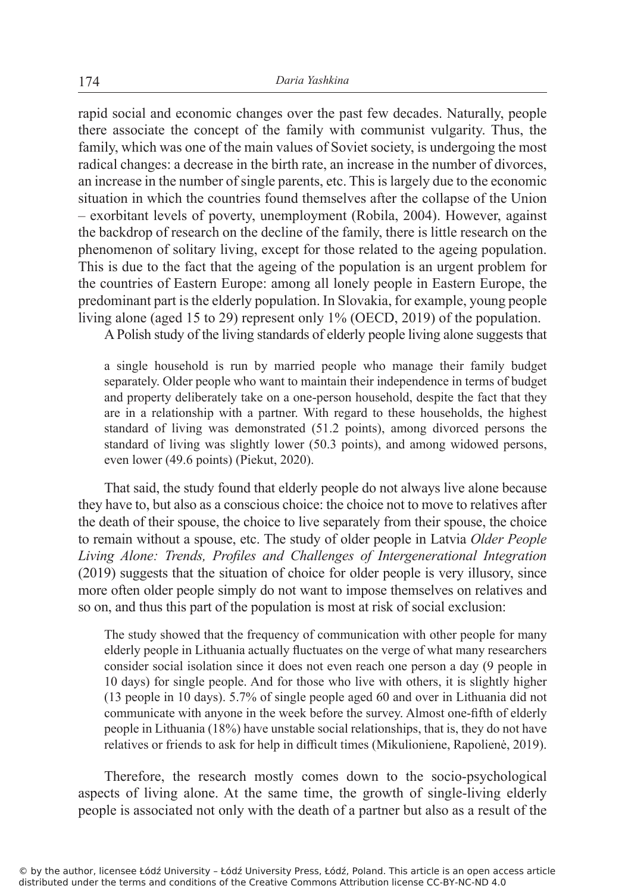rapid social and economic changes over the past few decades. Naturally, people there associate the concept of the family with communist vulgarity. Thus, the family, which was one of the main values of Soviet society, is undergoing the most radical changes: a decrease in the birth rate, an increase in the number of divorces, an increase in the number of single parents, etc. This is largely due to the economic situation in which the countries found themselves after the collapse of the Union – exorbitant levels of poverty, unemployment (Robila, 2004). However, against the backdrop of research on the decline of the family, there is little research on the phenomenon of solitary living, except for those related to the ageing population. This is due to the fact that the ageing of the population is an urgent problem for the countries of Eastern Europe: among all lonely people in Eastern Europe, the predominant part is the elderly population. In Slovakia, for example, young people living alone (aged 15 to 29) represent only 1% (OECD, 2019) of the population.

A Polish study of the living standards of elderly people living alone suggests that

a single household is run by married people who manage their family budget separately. Older people who want to maintain their independence in terms of budget and property deliberately take on a one-person household, despite the fact that they are in a relationship with a partner. With regard to these households, the highest standard of living was demonstrated (51.2 points), among divorced persons the standard of living was slightly lower (50.3 points), and among widowed persons, even lower (49.6 points) (Piekut, 2020).

That said, the study found that elderly people do not always live alone because they have to, but also as a conscious choice: the choice not to move to relatives after the death of their spouse, the choice to live separately from their spouse, the choice to remain without a spouse, etc. The study of older people in Latvia *Older People Living Alone: Trends, Profiles and Challenges of Intergenerational Integration* (2019) suggests that the situation of choice for older people is very illusory, since more often older people simply do not want to impose themselves on relatives and so on, and thus this part of the population is most at risk of social exclusion:

The study showed that the frequency of communication with other people for many elderly people in Lithuania actually fluctuates on the verge of what many researchers consider social isolation since it does not even reach one person a day (9 people in 10 days) for single people. And for those who live with others, it is slightly higher (13 people in 10 days). 5.7% of single people aged 60 and over in Lithuania did not communicate with anyone in the week before the survey. Almost one-fifth of elderly people in Lithuania (18%) have unstable social relationships, that is, they do not have relatives or friends to ask for help in difficult times (Mikulioniene, Rapolienė, 2019).

Therefore, the research mostly comes down to the socio-psychological aspects of living alone. At the same time, the growth of single-living elderly people is associated not only with the death of a partner but also as a result of the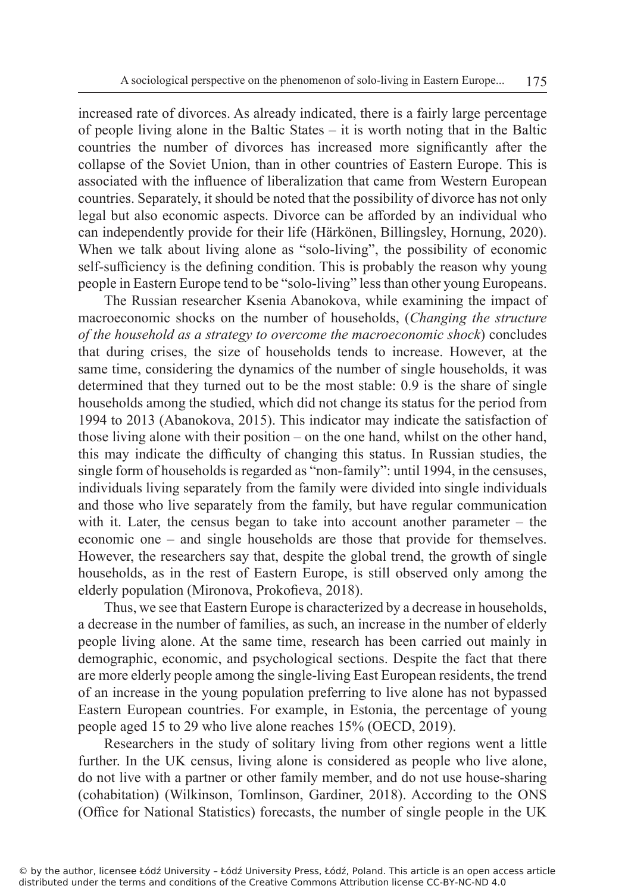increased rate of divorces. As already indicated, there is a fairly large percentage of people living alone in the Baltic States – it is worth noting that in the Baltic countries the number of divorces has increased more significantly after the collapse of the Soviet Union, than in other countries of Eastern Europe. This is associated with the influence of liberalization that came from Western European countries. Separately, it should be noted that the possibility of divorce has not only legal but also economic aspects. Divorce can be afforded by an individual who can independently provide for their life (Härkönen, Billingsley, Hornung, 2020). When we talk about living alone as "solo-living", the possibility of economic self-sufficiency is the defining condition. This is probably the reason why young people in Eastern Europe tend to be "solo-living" less than other young Europeans.

The Russian researcher Ksenia Abanokova, while examining the impact of macroeconomic shocks on the number of households, (*Changing the structure of the household as a strategy to overcome the macroeconomic shock*) concludes that during crises, the size of households tends to increase. However, at the same time, considering the dynamics of the number of single households, it was determined that they turned out to be the most stable: 0.9 is the share of single households among the studied, which did not change its status for the period from 1994 to 2013 (Abanokova, 2015). This indicator may indicate the satisfaction of those living alone with their position – on the one hand, whilst on the other hand, this may indicate the difficulty of changing this status. In Russian studies, the single form of households is regarded as "non-family": until 1994, in the censuses, individuals living separately from the family were divided into single individuals and those who live separately from the family, but have regular communication with it. Later, the census began to take into account another parameter – the economic one – and single households are those that provide for themselves. However, the researchers say that, despite the global trend, the growth of single households, as in the rest of Eastern Europe, is still observed only among the elderly population (Mironova, Prokofieva, 2018).

Thus, we see that Eastern Europe is characterized by a decrease in households, a decrease in the number of families, as such, an increase in the number of elderly people living alone. At the same time, research has been carried out mainly in demographic, economic, and psychological sections. Despite the fact that there are more elderly people among the single-living East European residents, the trend of an increase in the young population preferring to live alone has not bypassed Eastern European countries. For example, in Estonia, the percentage of young people aged 15 to 29 who live alone reaches 15% (OECD, 2019).

Researchers in the study of solitary living from other regions went a little further. In the UK census, living alone is considered as people who live alone, do not live with a partner or other family member, and do not use house-sharing (cohabitation) (Wilkinson, Tomlinson, Gardiner, 2018). According to the ONS (Office for National Statistics) forecasts, the number of single people in the UK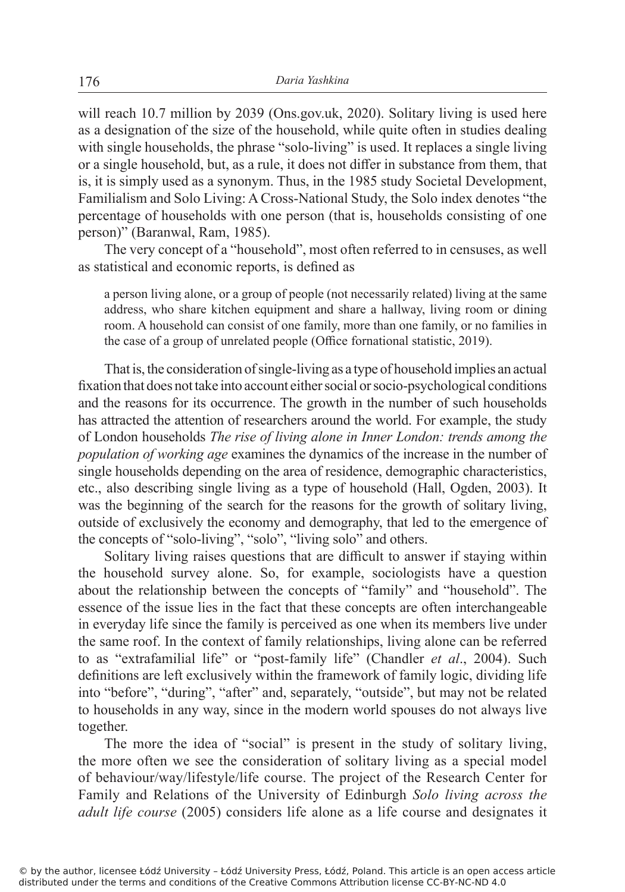will reach 10.7 million by 2039 (Ons.gov.uk, 2020). Solitary living is used here as a designation of the size of the household, while quite often in studies dealing with single households, the phrase "solo-living" is used. It replaces a single living or a single household, but, as a rule, it does not differ in substance from them, that is, it is simply used as a synonym. Thus, in the 1985 study Societal Development, Familialism and Solo Living: A Cross-National Study, the Solo index denotes "the percentage of households with one person (that is, households consisting of one person)" (Baranwal, Ram, 1985).

The very concept of a "household", most often referred to in censuses, as well as statistical and economic reports, is defined as

a person living alone, or a group of people (not necessarily related) living at the same address, who share kitchen equipment and share a hallway, living room or dining room. A household can consist of one family, more than one family, or no families in the case of a group of unrelated people (Office fornational statistic, 2019).

That is, the consideration of single-living as a type of household implies an actual fixation that does not take into account either social or socio-psychological conditions and the reasons for its occurrence. The growth in the number of such households has attracted the attention of researchers around the world. For example, the study of London households *The rise of living alone in Inner London: trends among the population of working age* examines the dynamics of the increase in the number of single households depending on the area of residence, demographic characteristics, etc., also describing single living as a type of household (Hall, Ogden, 2003). It was the beginning of the search for the reasons for the growth of solitary living, outside of exclusively the economy and demography, that led to the emergence of the concepts of "solo-living", "solo", "living solo" and others.

Solitary living raises questions that are difficult to answer if staying within the household survey alone. So, for example, sociologists have a question about the relationship between the concepts of "family" and "household". The essence of the issue lies in the fact that these concepts are often interchangeable in everyday life since the family is perceived as one when its members live under the same roof. In the context of family relationships, living alone can be referred to as "extrafamilial life" or "post-family life" (Chandler *et al*., 2004). Such definitions are left exclusively within the framework of family logic, dividing life into "before", "during", "after" and, separately, "outside", but may not be related to households in any way, since in the modern world spouses do not always live together.

The more the idea of "social" is present in the study of solitary living, the more often we see the consideration of solitary living as a special model of behaviour/way/lifestyle/life course. The project of the Research Center for Family and Relations of the University of Edinburgh *Solo living across the adult life course* (2005) considers life alone as a life course and designates it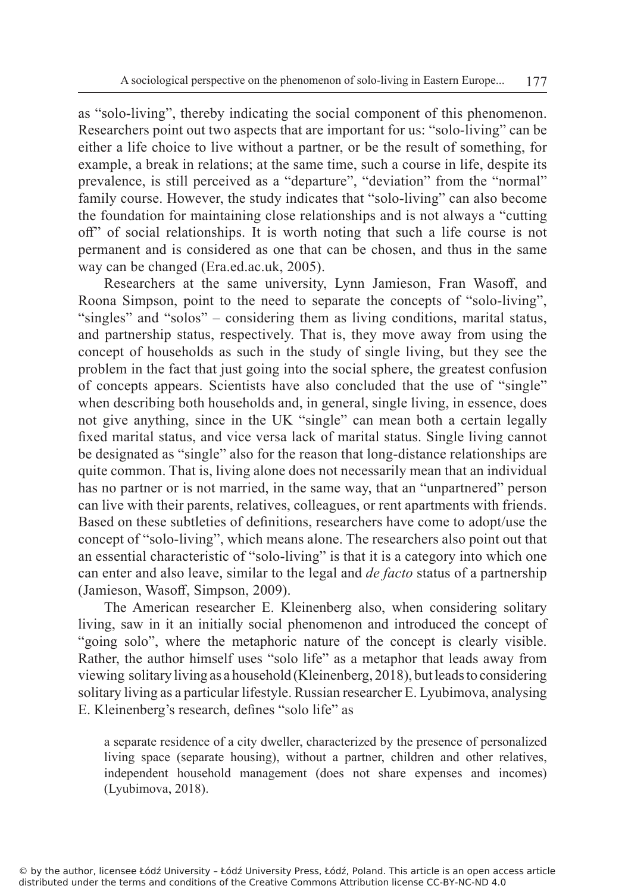as "solo-living", thereby indicating the social component of this phenomenon. Researchers point out two aspects that are important for us: "solo-living" can be either a life choice to live without a partner, or be the result of something, for example, a break in relations; at the same time, such a course in life, despite its prevalence, is still perceived as a "departure", "deviation" from the "normal" family course. However, the study indicates that "solo-living" can also become the foundation for maintaining close relationships and is not always a "cutting off" of social relationships. It is worth noting that such a life course is not permanent and is considered as one that can be chosen, and thus in the same way can be changed (Era.ed.ac.uk, 2005).

Researchers at the same university, Lynn Jamieson, Fran Wasoff, and Roona Simpson, point to the need to separate the concepts of "solo-living", "singles" and "solos" – considering them as living conditions, marital status, and partnership status, respectively. That is, they move away from using the concept of households as such in the study of single living, but they see the problem in the fact that just going into the social sphere, the greatest confusion of concepts appears. Scientists have also concluded that the use of "single" when describing both households and, in general, single living, in essence, does not give anything, since in the UK "single" can mean both a certain legally fixed marital status, and vice versa lack of marital status. Single living cannot be designated as "single" also for the reason that long-distance relationships are quite common. That is, living alone does not necessarily mean that an individual has no partner or is not married, in the same way, that an "unpartnered" person can live with their parents, relatives, colleagues, or rent apartments with friends. Based on these subtleties of definitions, researchers have come to adopt/use the concept of "solo-living", which means alone. The researchers also point out that an essential characteristic of "solo-living" is that it is a category into which one can enter and also leave, similar to the legal and *de facto* status of a partnership (Jamieson, Wasoff, Simpson, 2009).

The American researcher E. Kleinenberg also, when considering solitary living, saw in it an initially social phenomenon and introduced the concept of "going solo", where the metaphoric nature of the concept is clearly visible. Rather, the author himself uses "solo life" as a metaphor that leads away from viewing solitary living as a household (Kleinenberg, 2018), but leads to considering solitary living as a particular lifestyle. Russian researcher E. Lyubimova, analysing E. Kleinenberg's research, defines "solo life" as

a separate residence of a city dweller, characterized by the presence of personalized living space (separate housing), without a partner, children and other relatives, independent household management (does not share expenses and incomes) (Lyubimova, 2018).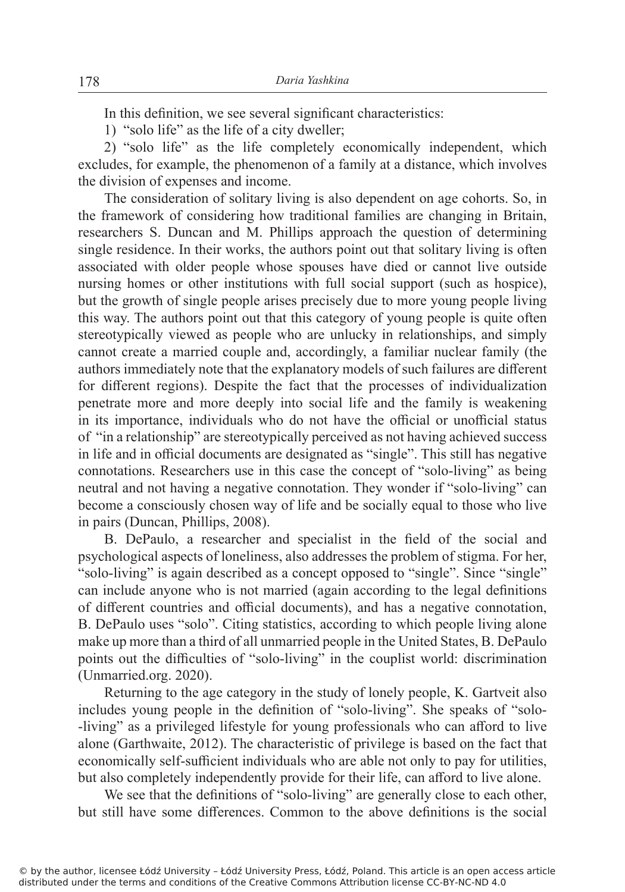In this definition, we see several significant characteristics:

1) "solo life" as the life of a city dweller;

2) "solo life" as the life completely economically independent, which excludes, for example, the phenomenon of a family at a distance, which involves the division of expenses and income.

The consideration of solitary living is also dependent on age cohorts. So, in the framework of considering how traditional families are changing in Britain, researchers S. Duncan and M. Phillips approach the question of determining single residence. In their works, the authors point out that solitary living is often associated with older people whose spouses have died or cannot live outside nursing homes or other institutions with full social support (such as hospice), but the growth of single people arises precisely due to more young people living this way. The authors point out that this category of young people is quite often stereotypically viewed as people who are unlucky in relationships, and simply cannot create a married couple and, accordingly, a familiar nuclear family (the authors immediately note that the explanatory models of such failures are different for different regions). Despite the fact that the processes of individualization penetrate more and more deeply into social life and the family is weakening in its importance, individuals who do not have the official or unofficial status of "in a relationship" are stereotypically perceived as not having achieved success in life and in official documents are designated as "single". This still has negative connotations. Researchers use in this case the concept of "solo-living" as being neutral and not having a negative connotation. They wonder if "solo-living" can become a consciously chosen way of life and be socially equal to those who live in pairs (Duncan, Phillips, 2008).

B. DePaulo, a researcher and specialist in the field of the social and psychological aspects of loneliness, also addresses the problem of stigma. For her, "solo-living" is again described as a concept opposed to "single". Since "single" can include anyone who is not married (again according to the legal definitions of different countries and official documents), and has a negative connotation, B. DePaulo uses "solo". Citing statistics, according to which people living alone make up more than a third of all unmarried people in the United States, B. DePaulo points out the difficulties of "solo-living" in the couplist world: discrimination (Unmarried.org. 2020).

Returning to the age category in the study of lonely people, K. Gartveit also includes young people in the definition of "solo-living". She speaks of "solo- -living" as a privileged lifestyle for young professionals who can afford to live alone (Garthwaite, 2012). The characteristic of privilege is based on the fact that economically self-sufficient individuals who are able not only to pay for utilities, but also completely independently provide for their life, can afford to live alone.

We see that the definitions of "solo-living" are generally close to each other, but still have some differences. Common to the above definitions is the social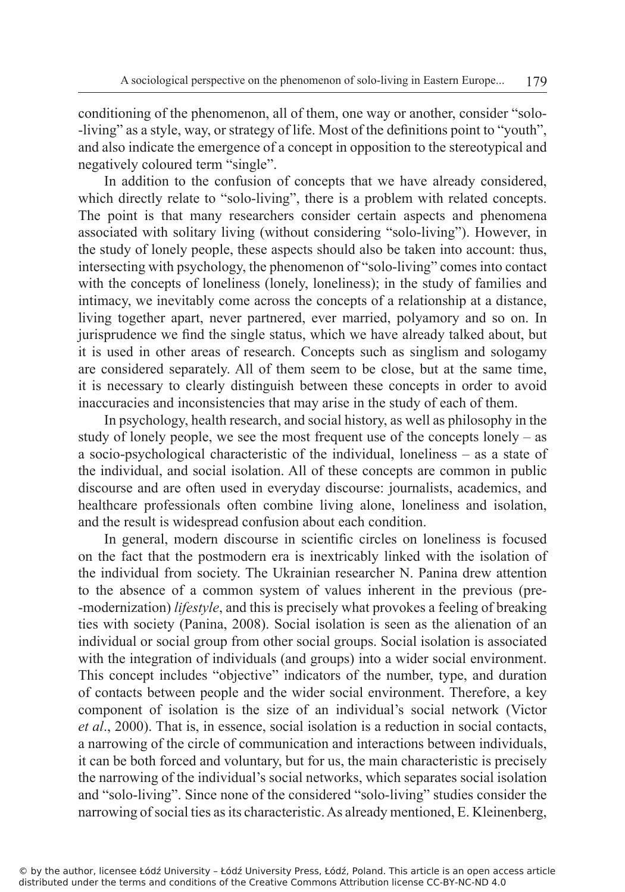conditioning of the phenomenon, all of them, one way or another, consider "solo- -living" as a style, way, or strategy of life. Most of the definitions point to "youth", and also indicate the emergence of a concept in opposition to the stereotypical and negatively coloured term "single".

In addition to the confusion of concepts that we have already considered, which directly relate to "solo-living", there is a problem with related concepts. The point is that many researchers consider certain aspects and phenomena associated with solitary living (without considering "solo-living"). However, in the study of lonely people, these aspects should also be taken into account: thus, intersecting with psychology, the phenomenon of "solo-living" comes into contact with the concepts of loneliness (lonely, loneliness); in the study of families and intimacy, we inevitably come across the concepts of a relationship at a distance, living together apart, never partnered, ever married, polyamory and so on. In jurisprudence we find the single status, which we have already talked about, but it is used in other areas of research. Concepts such as singlism and sologamy are considered separately. All of them seem to be close, but at the same time, it is necessary to clearly distinguish between these concepts in order to avoid inaccuracies and inconsistencies that may arise in the study of each of them.

In psychology, health research, and social history, as well as philosophy in the study of lonely people, we see the most frequent use of the concepts lonely – as a socio-psychological characteristic of the individual, loneliness – as a state of the individual, and social isolation. All of these concepts are common in public discourse and are often used in everyday discourse: journalists, academics, and healthcare professionals often combine living alone, loneliness and isolation, and the result is widespread confusion about each condition.

In general, modern discourse in scientific circles on loneliness is focused on the fact that the postmodern era is inextricably linked with the isolation of the individual from society. The Ukrainian researcher N. Panina drew attention to the absence of a common system of values inherent in the previous (pre- -modernization) *lifestyle*, and this is precisely what provokes a feeling of breaking ties with society (Panina, 2008). Social isolation is seen as the alienation of an individual or social group from other social groups. Social isolation is associated with the integration of individuals (and groups) into a wider social environment. This concept includes "objective" indicators of the number, type, and duration of contacts between people and the wider social environment. Therefore, a key component of isolation is the size of an individual's social network (Victor *et al*., 2000). That is, in essence, social isolation is a reduction in social contacts, a narrowing of the circle of communication and interactions between individuals, it can be both forced and voluntary, but for us, the main characteristic is precisely the narrowing of the individual's social networks, which separates social isolation and "solo-living". Since none of the considered "solo-living" studies consider the narrowing of social ties as its characteristic. As already mentioned, E. Kleinenberg,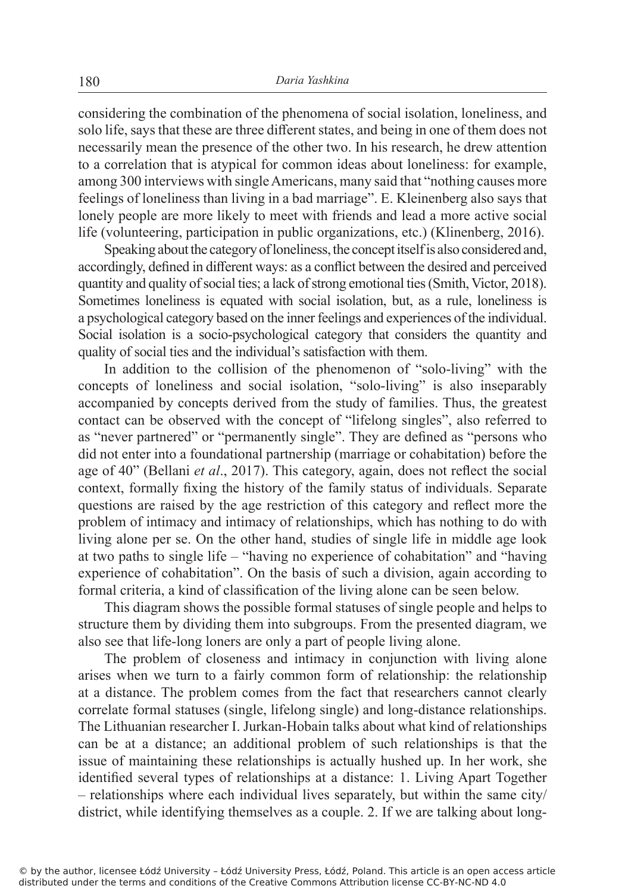considering the combination of the phenomena of social isolation, loneliness, and solo life, says that these are three different states, and being in one of them does not necessarily mean the presence of the other two. In his research, he drew attention to a correlation that is atypical for common ideas about loneliness: for example, among 300 interviews with single Americans, many said that "nothing causes more feelings of loneliness than living in a bad marriage". E. Kleinenberg also says that lonely people are more likely to meet with friends and lead a more active social life (volunteering, participation in public organizations, etc.) (Klinenberg, 2016).

Speaking about the category of loneliness, the concept itself is also considered and, accordingly, defined in different ways: as a conflict between the desired and perceived quantity and quality of social ties; a lack of strong emotional ties (Smith, Victor, 2018). Sometimes loneliness is equated with social isolation, but, as a rule, loneliness is a psychological category based on the inner feelings and experiences of the individual. Social isolation is a socio-psychological category that considers the quantity and quality of social ties and the individual's satisfaction with them.

In addition to the collision of the phenomenon of "solo-living" with the concepts of loneliness and social isolation, "solo-living" is also inseparably accompanied by concepts derived from the study of families. Thus, the greatest contact can be observed with the concept of "lifelong singles", also referred to as "never partnered" or "permanently single". They are defined as "persons who did not enter into a foundational partnership (marriage or cohabitation) before the age of 40" (Bellani *et al*., 2017). This category, again, does not reflect the social context, formally fixing the history of the family status of individuals. Separate questions are raised by the age restriction of this category and reflect more the problem of intimacy and intimacy of relationships, which has nothing to do with living alone per se. On the other hand, studies of single life in middle age look at two paths to single life – "having no experience of cohabitation" and "having experience of cohabitation". On the basis of such a division, again according to formal criteria, a kind of classification of the living alone can be seen below.

This diagram shows the possible formal statuses of single people and helps to structure them by dividing them into subgroups. From the presented diagram, we also see that life-long loners are only a part of people living alone.

The problem of closeness and intimacy in conjunction with living alone arises when we turn to a fairly common form of relationship: the relationship at a distance. The problem comes from the fact that researchers cannot clearly correlate formal statuses (single, lifelong single) and long-distance relationships. The Lithuanian researcher I. Jurkan-Hobain talks about what kind of relationships can be at a distance; an additional problem of such relationships is that the issue of maintaining these relationships is actually hushed up. In her work, she identified several types of relationships at a distance: 1. Living Apart Together – relationships where each individual lives separately, but within the same city/ district, while identifying themselves as a couple. 2. If we are talking about long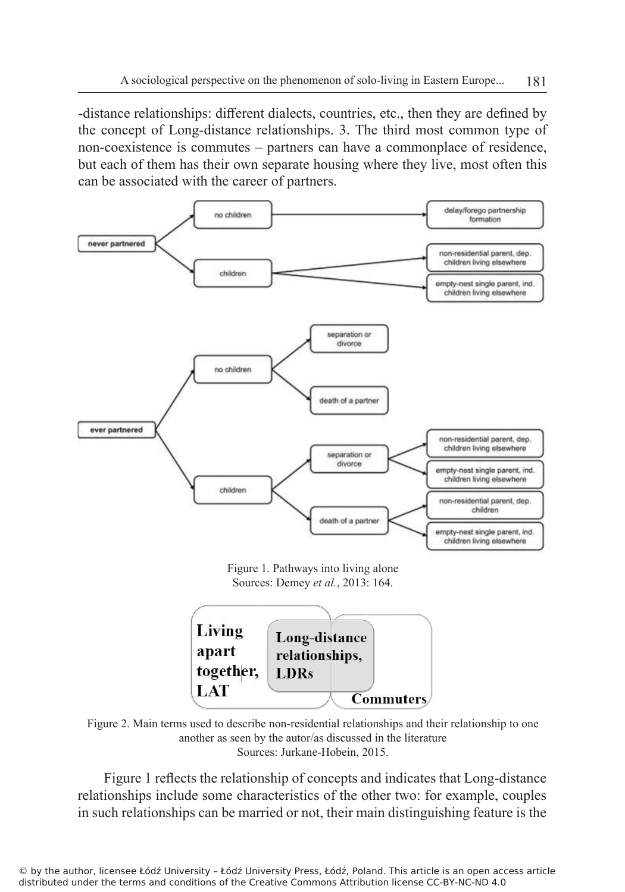-distance relationships: different dialects, countries, etc., then they are defined by the concept of Long-distance relationships. 3. The third most common type of non-coexistence is commutes – partners can have a commonplace of residence, but each of them has their own separate housing where they live, most often this can be associated with the career of partners.



Figure 1. Pathways into living alone Sources: Demey *et al.*, 2013: 164.



Figure 2. Main terms used to describe non-residential relationships and their relationship to one another as seen by the autor/as discussed in the literature Sources: Jurkane-Hobein, 2015.

Figure 1 reflects the relationship of concepts and indicates that Long-distance relationships include some characteristics of the other two: for example, couples in such relationships can be married or not, their main distinguishing feature is the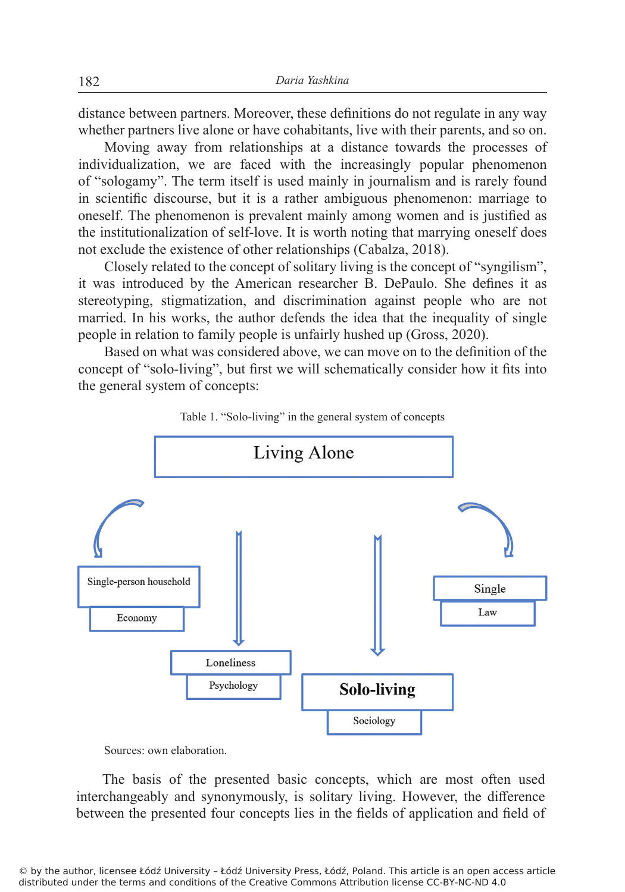distance between partners. Moreover, these definitions do not regulate in any way whether partners live alone or have cohabitants, live with their parents, and so on.

Moving away from relationships at a distance towards the processes of individualization, we are faced with the increasingly popular phenomenon of "sologamy". The term itself is used mainly in journalism and is rarely found in scientific discourse, but it is a rather ambiguous phenomenon: marriage to oneself. The phenomenon is prevalent mainly among women and is justified as the institutionalization of self-love. It is worth noting that marrying oneself does not exclude the existence of other relationships (Cabalza, 2018).

Closely related to the concept of solitary living is the concept of "syngilism", it was introduced by the American researcher B. DePaulo. She defines it as stereotyping, stigmatization, and discrimination against people who are not married. In his works, the author defends the idea that the inequality of single people in relation to family people is unfairly hushed up (Gross, 2020).

Based on what was considered above, we can move on to the definition of the concept of "solo-living", but first we will schematically consider how it fits into the general system of concepts:





Sources: own elaboration.

The basis of the presented basic concepts, which are most often used interchangeably and synonymously, is solitary living. However, the difference between the presented four concepts lies in the fields of application and field of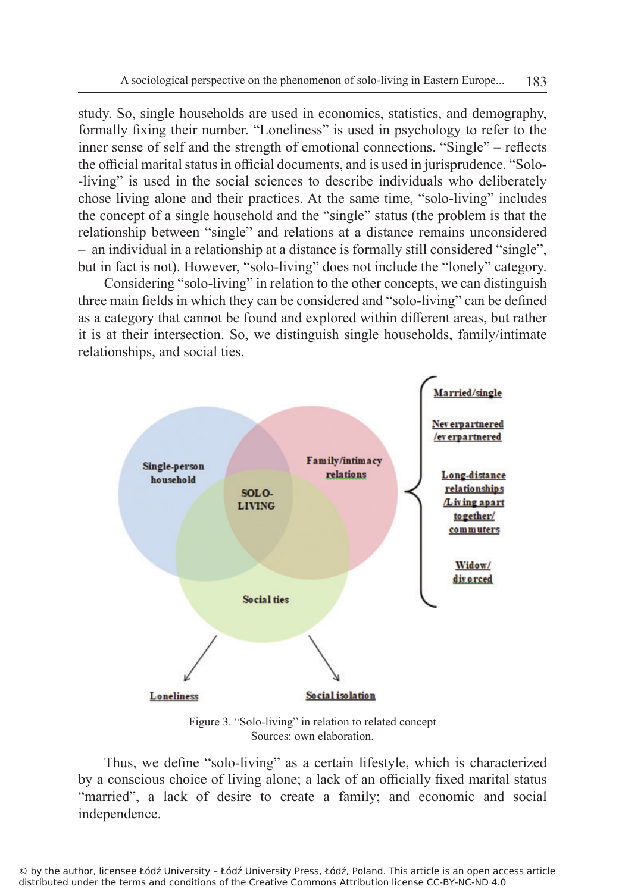study. So, single households are used in economics, statistics, and demography, formally fixing their number. "Loneliness" is used in psychology to refer to the inner sense of self and the strength of emotional connections. "Single" – reflects the official marital status in official documents, and is used in jurisprudence. "Solo- -living" is used in the social sciences to describe individuals who deliberately chose living alone and their practices. At the same time, "solo-living" includes the concept of a single household and the "single" status (the problem is that the relationship between "single" and relations at a distance remains unconsidered – an individual in a relationship at a distance is formally still considered "single", but in fact is not). However, "solo-living" does not include the "lonely" category.

Considering "solo-living" in relation to the other concepts, we can distinguish three main fields in which they can be considered and "solo-living" can be defined as a category that cannot be found and explored within different areas, but rather it is at their intersection. So, we distinguish single households, family/intimate relationships, and social ties.



Figure 3. "Solo-living" in relation to related concept Sources: own elaboration.

Thus, we define "solo-living" as a certain lifestyle, which is characterized by a conscious choice of living alone; a lack of an officially fixed marital status "married", a lack of desire to create a family; and economic and social independence.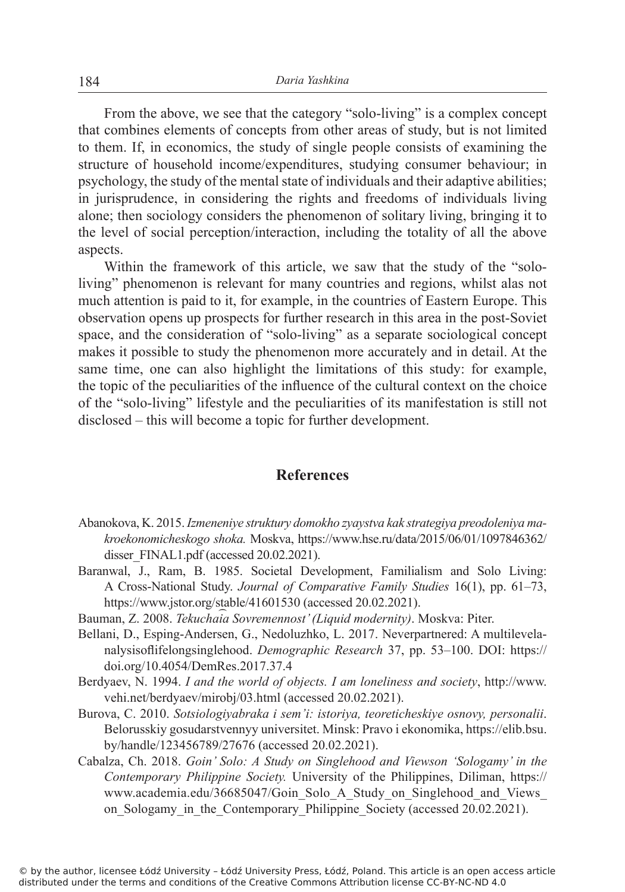From the above, we see that the category "solo-living" is a complex concept that combines elements of concepts from other areas of study, but is not limited to them. If, in economics, the study of single people consists of examining the structure of household income/expenditures, studying consumer behaviour; in psychology, the study of the mental state of individuals and their adaptive abilities; in jurisprudence, in considering the rights and freedoms of individuals living alone; then sociology considers the phenomenon of solitary living, bringing it to the level of social perception/interaction, including the totality of all the above aspects.

Within the framework of this article, we saw that the study of the "sololiving" phenomenon is relevant for many countries and regions, whilst alas not much attention is paid to it, for example, in the countries of Eastern Europe. This observation opens up prospects for further research in this area in the post-Soviet space, and the consideration of "solo-living" as a separate sociological concept makes it possible to study the phenomenon more accurately and in detail. At the same time, one can also highlight the limitations of this study: for example, the topic of the peculiarities of the influence of the cultural context on the choice of the "solo-living" lifestyle and the peculiarities of its manifestation is still not disclosed – this will become a topic for further development.

## **References**

- Abanokova, K. 2015. *Izmeneniye struktury domokho zyaystva kak strategiya preodoleniya makroekonomicheskogo shoka.* Moskva, https://www.hse.ru/data/2015/06/01/1097846362/ disser\_FINAL1.pdf (accessed 20.02.2021).
- Baranwal, J., Ram, B. 1985. Societal Development, Familialism and Solo Living: A Cross-National Study. *Journal of Comparative Family Studies* 16(1), pp. 61–73, https://www.jstor.org/stable/41601530 (accessed 20.02.2021).
- Bauman, Z. 2008. *Tekuchai︠a ︡ Sovremennost' (Liquid modernity)*. Moskva: Piter.
- Bellani, D., Esping-Andersen, G., Nedoluzhko, L. 2017. Neverpartnered: A multilevelanalysisoflifelongsinglehood. *Demographic Research* 37, pp. 53–100. DOI: https:// doi.org/10.4054/DemRes.2017.37.4
- Berdyaev, N. 1994. *I and the world of objects. I am loneliness and society*, http://www. vehi.net/berdyaev/mirobj/03.html (accessed 20.02.2021).
- Burova, C. 2010. *Sotsiologiyabraka i sem'i: istoriya, teoreticheskiye osnovy, personalii*. Belorusskiy gosudarstvennyy universitet. Minsk: Pravo i ekonomika, https://elib.bsu. by/handle/123456789/27676 (accessed 20.02.2021).
- Cabalza, Ch. 2018. *Goin' Solo: A Study on Singlehood and Viewson 'Sologamy' in the Contemporary Philippine Society.* University of the Philippines, Diliman, https:// www.academia.edu/36685047/Goin\_Solo\_A\_Study\_on\_Singlehood\_and\_Views\_ on Sologamy in the Contemporary Philippine Society (accessed 20.02.2021).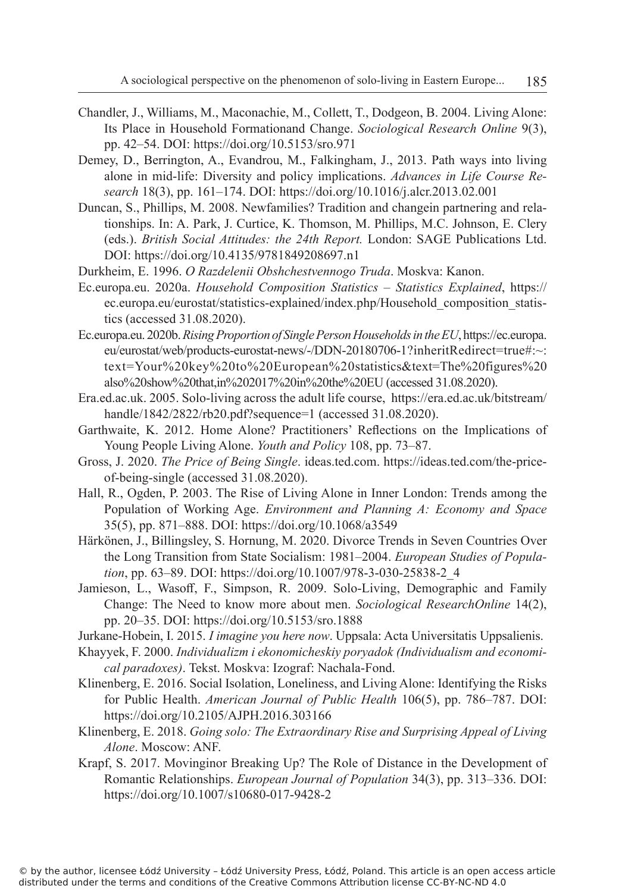- Chandler, J., Williams, M., Maconachie, M., Collett, T., Dodgeon, B. 2004. Living Alone: Its Place in Household Formationand Change. *Sociological Research Online* 9(3), pp. 42–54. DOI: https://doi.org/10.5153/sro.971
- Demey, D., Berrington, A., Evandrou, M., Falkingham, J., 2013. Path ways into living alone in mid-life: Diversity and policy implications. *Advances in Life Course Research* 18(3), pp. 161–174. DOI: https://doi.org/10.1016/j.alcr.2013.02.001
- Duncan, S., Phillips, M. 2008. Newfamilies? Tradition and changein partnering and relationships. In: A. Park, J. Curtice, K. Thomson, M. Phillips, M.C. Johnson, E. Clery (eds.). *British Social Attitudes: the 24th Report.* London: SAGE Publications Ltd. DOI: https://doi.org/10.4135/9781849208697.n1
- Durkheim, E. 1996. *O Razdelenii Obshchestvennogo Truda*. Moskva: Kanon.
- Ec.europa.eu. 2020a. *Household Composition Statistics Statistics Explained*, https:// ec.europa.eu/eurostat/statistics-explained/index.php/Household\_composition\_statistics (accessed 31.08.2020).
- Ec.europa.eu. 2020b. *Rising Proportion of Single Person Households in the EU*, https://ec.europa. eu/eurostat/web/products-eurostat-news/-/DDN-20180706-1?inheritRedirect=true#:~: text=Your%20key%20to%20European%20statistics&text=The%20figures%20 also%20show%20that,in%202017%20in%20the%20EU (accessed 31.08.2020).
- Era.ed.ac.uk. 2005. Solo-living across the adult life course, https://era.ed.ac.uk/bitstream/ handle/1842/2822/rb20.pdf?sequence=1 (accessed 31.08.2020).
- Garthwaite, K. 2012. Home Alone? Practitioners' Reflections on the Implications of Young People Living Alone. *Youth and Policy* 108, pp. 73–87.
- Gross, J. 2020. *The Price of Being Single*. ideas.ted.com. https://ideas.ted.com/the-priceof-being-single (accessed 31.08.2020).
- Hall, R., Ogden, P. 2003. The Rise of Living Alone in Inner London: Trends among the Population of Working Age. *Environment and Planning A: Economy and Space* 35(5), pp. 871–888. DOI: https://doi.org/10.1068/a3549
- Härkönen, J., Billingsley, S. Hornung, M. 2020. Divorce Trends in Seven Countries Over the Long Transition from State Socialism: 1981–2004. *European Studies of Population*, pp. 63–89. DOI: https://doi.org/10.1007/978-3-030-25838-2\_4
- Jamieson, L., Wasoff, F., Simpson, R. 2009. Solo-Living, Demographic and Family Change: The Need to know more about men. *Sociological ResearchOnline* 14(2), pp. 20–35. DOI: https://doi.org/10.5153/sro.1888
- Jurkane-Hobein, I. 2015. *I imagine you here now*. Uppsala: Acta Universitatis Uppsalienis.
- Khayyek, F. 2000. *Individualizm i ekonomicheskiy poryadok (Individualism and economical paradoxes)*. Tekst. Moskva: Izograf: Nachala-Fond.
- Klinenberg, E. 2016. Social Isolation, Loneliness, and Living Alone: Identifying the Risks for Public Health. *American Journal of Public Health* 106(5), pp. 786–787. DOI: https://doi.org/10.2105/AJPH.2016.303166
- Klinenberg, E. 2018. *Going solo: The Extraordinary Rise and Surprising Appeal of Living Alone*. Moscow: ANF.
- Krapf, S. 2017. Movinginor Breaking Up? The Role of Distance in the Development of Romantic Relationships. *European Journal of Population* 34(3), pp. 313–336. DOI: https://doi.org/10.1007/s10680-017-9428-2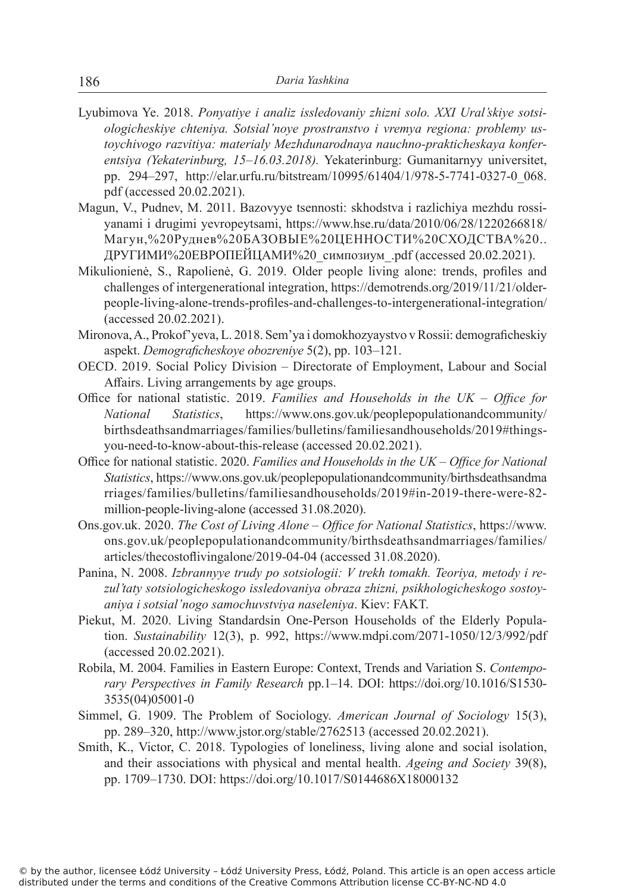- Lyubimova Ye. 2018. *Ponyatiye i analiz issledovaniy zhizni solo. XXI Ural'skiye sotsiologicheskiye chteniya. Sotsial'noye prostranstvo i vremya regiona: problemy ustoychivogo razvitiya: materialy Mezhdunarodnaya nauchno-prakticheskaya konferentsiya (Yekaterinburg, 15–16.03.2018).* Yekaterinburg: Gumanitarnyy universitet, pp. 294–297, http://elar.urfu.ru/bitstream/10995/61404/1/978-5-7741-0327-0\_068. pdf (accessed 20.02.2021).
- Magun, V., Pudnev, M. 2011. Bazovyye tsennosti: skhodstva i razlichiya mezhdu rossiyanami i drugimi yevropeytsami, https://www.hse.ru/data/2010/06/28/1220266818/ Магун,%20Руднев%20БАЗОВЫЕ%20ЦЕННОСТИ%20СХОДСТВА%20.. ДРУГИМИ%20ЕВРОПЕЙЦАМИ%20\_симпозиум\_.pdf (accessed 20.02.2021).
- Mikulionienė, S., Rapolienė, G. 2019. Older people living alone: trends, profiles and challenges of intergenerational integration, https://demotrends.org/2019/11/21/olderpeople-living-alone-trends-profiles-and-challenges-to-intergenerational-integration/ (accessed 20.02.2021).
- Mironova, A., Prokof'yeva, L. 2018. Sem'ya i domokhozyaystvo v Rossii: demograficheskiy aspekt. *Demograficheskoye obozreniye* 5(2), pp. 103–121.
- OECD. 2019. Social Policy Division Directorate of Employment, Labour and Social Affairs. Living arrangements by age groups.
- Office for national statistic. 2019. *Families and Households in the UK Office for National Statistics*, https://www.ons.gov.uk/peoplepopulationandcommunity/ birthsdeathsandmarriages/families/bulletins/familiesandhouseholds/2019#thingsyou-need-to-know-about-this-release (accessed 20.02.2021).
- Office for national statistic. 2020. *Families and Households in the UK Office for National Statistics*, https://www.ons.gov.uk/peoplepopulationandcommunity/birthsdeathsandma rriages/families/bulletins/familiesandhouseholds/2019#in-2019-there-were-82 million-people-living-alone (accessed 31.08.2020).
- Ons.gov.uk. 2020. *The Cost of Living Alone Office for National Statistics*, https://www. ons.gov.uk/peoplepopulationandcommunity/birthsdeathsandmarriages/families/ articles/thecostoflivingalone/2019-04-04 (accessed 31.08.2020).
- Panina, N. 2008. *Izbrannyye trudy po sotsiologii: V trekh tomakh. Teoriya, metody i rezul'taty sotsiologicheskogo issledovaniya obraza zhizni, psikhologicheskogo sostoyaniya i sotsial'nogo samochuvstviya naseleniya*. Kiev: FAKT.
- Piekut, M. 2020. Living Standardsin One-Person Households of the Elderly Population. *Sustainability* 12(3), p. 992, https://www.mdpi.com/2071-1050/12/3/992/pdf (accessed 20.02.2021).
- Robila, M. 2004. Families in Eastern Europe: Context, Trends and Variation S. *Contemporary Perspectives in Family Research* pp.1–14. DOI: https://doi.org/10.1016/S1530- 3535(04)05001-0
- Simmel, G. 1909. The Problem of Sociology. *American Journal of Sociology* 15(3), pp. 289–320, http://www.jstor.org/stable/2762513 (accessed 20.02.2021).
- Smith, K., Victor, C. 2018. Typologies of loneliness, living alone and social isolation, and their associations with physical and mental health. *Ageing and Society* 39(8), pp. 1709–1730. DOI: https://doi.org/10.1017/S0144686X18000132